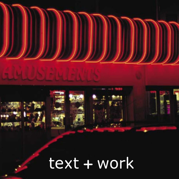# text + work

**Falls** 196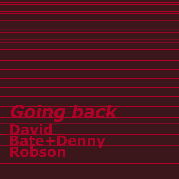## **Going back** David<br>Balte<del>r</del> **Bate+Denny Robson**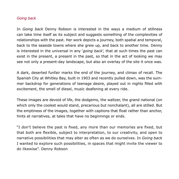#### *Going back*

In *Going back* Denny Robson is interested in the ways a medium of stillness can take time itself as its subject and suggests something of the complexities of relationships with the past. Her work depicts a journey, both spatial and temporal, back to the seaside towns where she grew up, and back to another time. Denny is interested in the universal in any '*going back*', that at such times the past can exist in the present, a present in the past, so that in the act of looking we may see not only a present-day landscape, but also an overlay of the site it once was.

A dark, deserted funfair marks the end of the journey, and climax of recall. The Spanish City at Whitley Bay, built in 1903 and recently pulled down, was the summer backdrop for generations of teenage desire, played out in nights filled with excitement, the smell of diesel, music deafening at every ride.

These images are devoid of life, the dodgems, the waltzer, the grand national (on which only the coolest would stand, precarious but nonchalant), all are stilled. But the emptiness of the images, together with captions that float rather than anchor, hints at narratives, at tales that have no beginnings or ends.

"I don't believe the past is fixed, any more than our memories are fixed, but that both are flexible, subject to interpretation, to our creativity, and open to narrative possibilities that may alter as often as we do ourselves. In *Going back* I wanted to explore such possibilities, in spaces that might invite the viewer to do likewise". Denny Robson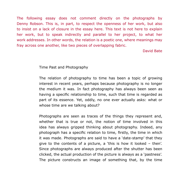The following essay does not comment directly on the photographs by Denny Robson. This is, in part, to respect the openness of her work, but also to insist on a lack of closure in the essay here. This text is not here to explain her work, but to speak indirectly and parallel to her project, to what her work addresses. In other words, the relation is a poetic one, where meanings may fray across one another, like two pieces of overlapping fabric.

David Bate

Time Past and Photography

The relation of photography to time has been a topic of growing interest in recent years, perhaps because photography is no longer the medium it was. In fact photography has always been seen as having a specific relationship to time, such that time is regarded as part of its essence. Yet, oddly, no one ever actually asks: what or whose time are we talking about?

Photographs are seen as traces of the things they represent and, whether that is true or not, the notion of time involved in this idea has always gripped thinking about photography. Indeed, any photograph has a specific relation to time, firstly, the time in which it was made. Photographs are said to have a 'date-stamp' that they give to the contents of a picture, a 'this is how it looked – then'. Since photographs are always produced after the shutter has been clicked, the actual production of the picture is always as a 'pastness'. The picture constructs an image of something that, by the time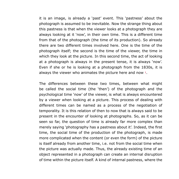it is an image, is already a 'past' event. This 'pastness' about the photograph is assumed to be inevitable. Now the strange thing about this pastness is that when the viewer looks at a photograph they are always looking at it 'now', in their own time. This is a different time from that of the photograph (the time of its production). So already there are two different times involved here. One is the time of the photograph itself; the second is the time of the viewer, the time in which they look at the picture. In this second time, the act of looking at a photograph is always in the present tense, it is always 'now'. Even if she or he is looking at a photograph from the 1830s, it is always the viewer who animates the picture here and now 1.

The differences between these two times, between what might be called the social time (the 'then') of the photograph and the psychological time 'now' of the viewer, is what is always encountered by a viewer when looking at a picture. This process of dealing with different times can be named as a process of the negotiation of temporality. It is this relation of then to now that is always said to be present in the encounter of looking at photographs. So, as it can be seen so far, the question of time is already far more complex than merely saying 'photography has a pastness about it'. Indeed, the first time, the social time of the production of the photograph, is made more complicated when the content (or even the form) of the picture is itself already from another time, i.e. not from the social time when the picture was actually made. Thus, the already existing time of an object represented in a photograph can create an internal disruption of time within the picture itself. A kind of internal pastness, where the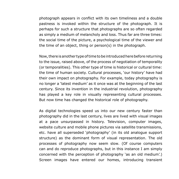photograph appears in conflict with its own timeliness and a double pastness is invoked within the structure of the photograph. It is perhaps for such a structure that photographs are so often regarded as simply a medium of melancholy and loss. Thus far are three times: the social time of the picture, a psychological time of the viewer and the time of an object, thing or person(s) in the photograph.

Now, there is another type of time to be introduced here before returning to the issue, raised above, of the process of negotiation of temporality (or temporalities). This other type of time is historical or cultural time: the time of human society. Cultural processes, 'our history' have had their own impact on photography. For example, today photography is no longer a 'latest medium' as it once was at the beginning of the last century. Since its invention in the industrial revolution, photography has played a key role in visually representing cultural processes. But now time has changed the historical role of photography.

As digital technologies speed us into our new century faster than photography did in the last century, lives are lived with visual images at a pace unsurpassed in history. Television, computer images, website culture and mobile phone pictures via satellite transmissions, etc. have all superseded 'photography' (in its old analogue support structure) as the dominant form of visual representation. The old processes of photography now seem slow. (Of course computers can and do reproduce photographs, but in this instance I am simply concerned with the perception of photography 'as an old medium'.) Screen images have entered our homes, introducing transient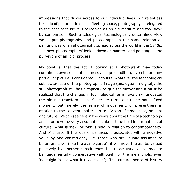impressions that flicker across to our individual lives in a relentless tornado of pictures. In such a fleeting space, photography is relegated to the past because it is perceived as an old medium and too 'slow' by comparison. Such a teleological technologically determined view would put photography and photographs in the same relation as painting was when photography spread across the world in the 1840s. The new 'photographers' looked down on painters and painting as the purveyors of an 'old' process.

My point is, that the act of looking at a photograph may today contain its own sense of pastness as a precondition, even before any particular picture is considered. Of course, whatever the technological substrate/base of the photographic image (analogue on digital), the still photograph still has a capacity to grip the viewer and it must be realized that the changes in technological form have only renovated the old not transformed it. Modernity turns out to be not a fixed moment, but merely the sense of movement, of presentness in relation to the conventional tripartite division of time: past, present and future. We can see here in the views about the time of a technology as old or new the very assumptions about time held in our notions of culture. What is 'new' or 'old' is held in relation to contemporaneity. And of course, if the idea of pastness is associated with a negative value by one constituency, i.e. those who are usually assumed to be progressive, (like the avant-garde), it will nevertheless be valued positively by another constituency, i.e. those usually assumed to be fundamentally conservative (although for the melancholic even 'nostalgia is not what it used to be'). This cultural sense of history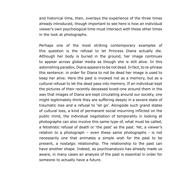and historical time, then, overlays the experience of the three times already introduced, though important to see here is how an individual viewer's own psychological time must intersect with these other times in the look at photographs.

Perhaps one of the most striking contemporary examples of this question is the refusal to let Princess Diana actually die. Although her body is buried in the ground, her image continues to appear across global media as though she is still alive. In this astonishing paradox, Diana appears to be not dead. In fact, to re-phrase this sentence: in order for Diana to not be dead her image is used to keep her alive. Here the past is invoked not as a memory, but as a cultural refusal to let the dead pass into memory. If an individual kept the pictures of their recently deceased loved-one around them in the way that images of Diana are kept circulating around our society, one might legitimately think they are suffering deeply in a severe state of traumatic loss and a refusal to 'let go'. Alongside such grand states of cultural loss, a kind of permanent social mourning inflicted on the public mind, the individual negotiation of temporality in looking at photographs can also involve this same type of, what must be called, a fetishistic refusal of death or 'the past' as the past. Yet, a viewer's relation to a photograph – even these same photographs - is not necessarily one that animates a simple wish for the past to be present, a nostalgic relationship. The relationship to the past can have another shape. Indeed, as psychoanalysis has already made us aware, in many cases an analysis of the past is essential in order for someone to actually have a future.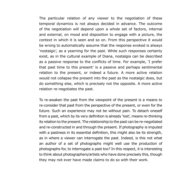The particular relation of any viewer to the negotiation of these temporal dynamics is not always decided in advance. The outcome of the negotiation will depend upon a whole set of factors, internal and external, on mood and disposition to engage with a picture, the context in which it is seen and so on. From this perspective it would be wrong to automatically assume that the response evoked is always 'nostalgic', as a yearning for the past. While such responses certainly exist, as in the cultural example of Diana, nostalgia can be described as a passive response to the conflicts of time. For example, 'I prefer that past time to this present' is a passive and perhaps sentimental relation to the present, or indeed a future. A more active relation would not collapse the present into the past as the nostalgic does, but do something else, which is precisely not the opposite. A more active relation re-negotiates the past.

To re-awaken the past from the viewpoint of the present is a means to re-consider that past from the perspective of the present, or even for the future. Such an experience may not be without pain. To detach oneself from a past, which by its very definition is already 'lost', means re-thinking its relation to the present. The relationship to the past can be re-negotiated and re-constructed in and through the present. If photography is imputed with a pastness in its essential definition, this might also be its strength, as in where a viewer can interrogate the past. Indeed, is this not what an author of a set of photographs might well use the production of photographs for, to interrogate a past too? In this respect, it is interesting to think about photographers/artists who have done precisely this, though they may not ever have made claims to do so with their work.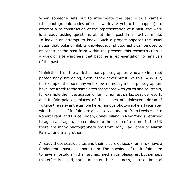When someone sets out to interrogate the past with a camera (the photographic codes of such work are yet to be mapped), to attempt a re-construction of the representation of a past, the work is already asking questions about time past in an active mode. To look is an attempt to know. Such a project opposes the usual notion that looking inhibits knowledge. If photographs can be used to re-construct the past from within the present, this reconstruction is a work of afterwardness that become a representation for analysis of the past.

I think that this is the work that many photographers who work in 'street photography' are doing, even if they never put it like this. Why is it, for example, that so many well known - mostly men – photographers have 'returned' to the same sites associated with youth and courtship, for example the investigation of family homes, parks, seaside resorts and funfair palaces, places of the scenes of adolescent dreams? To take the relevant example here, famous photographers fascinated with the space of funfairs are absolutely abundant, from Lewis Hine to Robert Frank and Bruce Gilden, Coney Island in New York is returned to again and again, like criminals to the scene of a crime. In the UK there are many photographers too from Tony Ray Jones to Martin Parr ... and many others.

Already these seaside sites and their leisure objects - funfairs - have a fundamental pastness about them. The machines of the funfair seem to have a nostalgia in their archaic mechanical pleasures, but perhaps this effect is based, not so much on their pastness, as a sentimental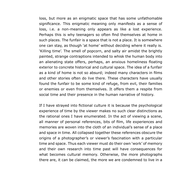loss, but more as an enigmatic space that has some unfathomable significance. This enigmatic meaning only manifests as a sense of loss, i.e. a non-meaning only appears as like a lost experience. Perhaps this is why teenagers so often find themselves at home in such places. The funfair is a space that is not a place. It is somewhere one can stay, as though 'at home' without deciding where it really is. 'Killing time'. The smell of popcorn, and salty air amidst the brightly painted, strange contraptions intended to whisk the human body into an alienating state offers, perhaps, an anxious homeliness floating exterior to concrete historical and cultural space. The idea of a funfair as a kind of home is not so absurd; indeed many characters in films and other stories often do live there. These characters have usually found the funfair to be some kind of refuge, from evil, their families or enemies or even from themselves. It offers them a respite from social time and their presence in the human narrative of history.

If I have strayed into fictional culture it is because the psychological experience of time by the viewer makes no such clear distinctions as the rational ones I have enumerated. In the act of viewing a scene, all manner of personal references, bits of film, life experiences and memories are woven into the cloth of an individual's sense of a place and space in time. All collapsed together these references obscure the origins of a photographer's or viewer's fascination with a particular time and space. Thus each viewer must do their own 'work' of memory and their own research into time past will have consequences for what becomes cultural memory. Otherwise, the more photographs there are, it can be claimed, the more we are condemned to live in a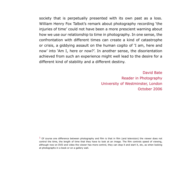society that is perpetually presented with its own past as a loss. William Henry Fox Talbot's remark about photography recording 'the injuries of time' could not have been a more prescient warning about how we use our relationship to time in photography. In one sense, the confrontation with different times can create a kind of catastrophe or crisis, a giddying assault on the human cogito of 'I am, here and now' into 'Am I, here or now?'. In another sense, the disorientation achieved from such an experience might well lead to the desire for a different kind of stability and a different destiny.

> David Bate Reader in Photography University of Westminster, London October 2006

 $<sup>1</sup>$  Of course one difference between photography and film is that in film (and television) the viewer does not</sup> control the time, the length of time that they have to look at an image. The film controls speed of viewing, although now on DVD and video the viewer has more control, they can stop it and start it, etc, as when looking at photographs in a book or on a gallery wall.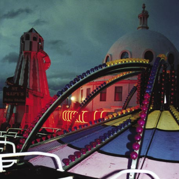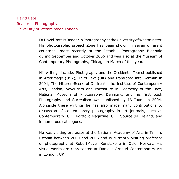David Bate Reader in Photography University of Westminster, London

> Dr David Bate is Reader in Photography at the University of Westminster. His photographic project Zone has been shown in seven different countries, most recently at the Istanbul Photography Biennale during September and October 2006 and was also at the Museum of Contemporary Photography, Chicago in March of this year.

> His writings include: Photography and the Occidental Tourist published in Afterimage (USA), Third Text (UK) and translated into German in 2004; The Mise-en-Scene of Desire for the Institute of Contemporary Arts, London; Voyeurism and Portraiture in Geometry of the Face, National Museum of Photography, Denmark, and his first book Photography and Surrealism was published by IB Tauris in 2004. Alongside these writings he has also made many contributions to discussion of contemporary photography in art journals, such as Contemporary (UK), Portfolio Magazine (UK), Source (N. Ireland) and in numerous catalogues.

> He was visiting professor at the National Academy of Arts in Tallinn, Estonia between 2000 and 2005 and is currently visiting professor of photography at RobertMeyer Kunstskolle in Oslo, Norway. His visual works are represented at Danielle Arnaud Contemporary Art in London, UK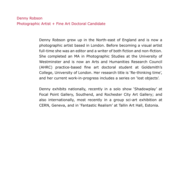#### Denny Robson Photographic Artist + Fine Art Doctoral Candidate

Denny Robson grew up in the North-east of England and is now a photographic artist based in London. Before becoming a visual artist full-time she was an editor and a writer of both fiction and non-fiction. She completed an MA in Photographic Studies at the University of Westminster and is now an Arts and Humanities Research Council (AHRC) practice-based fine art doctoral student at Goldsmith's College, University of London. Her research title is 'Re-thinking time', and her current work-in-progress includes a series on 'lost objects'.

Denny exhibits nationally, recently in a solo show 'Shadowplay' at Focal Point Gallery, Southend, and Rochester City Art Gallery; and also internationally, most recently in a group sci-art exhibition at CERN, Geneva, and in 'Fantastic Realism' at Tallin Art Hall, Estonia.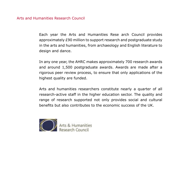Arts and Humanities Research Council

Each year the Arts and Humanities Rese arch Council provides approximately £90 million to support research and postgraduate study in the arts and humanities, from archaeology and English literature to design and dance.

In any one year, the AHRC makes approximately 700 research awards and around 1,500 postgraduate awards. Awards are made after a rigorous peer review process, to ensure that only applications of the highest quality are funded.

Arts and humanities researchers constitute nearly a quarter of all research-active staff in the higher education sector. The quality and range of research supported not only provides social and cultural benefits but also contributes to the economic success of the UK.

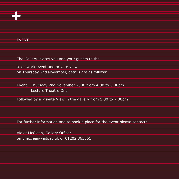### EVENT

The Gallery invites you and your guests to the

text+work event and private view on Thursday 2nd November, details are as follows:

Event Thursday 2nd November 2006 from 4.30 to 5.30pm Lecture Theatre One

Followed by a Private View in the gallery from 5.30 to 7.00pm

For further information and to book a place for the event please contact:

Violet McClean, Gallery Officer on vmcclean@aib.ac.uk or 01202 363351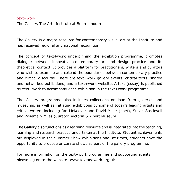#### text+work

The Gallery, The Arts Institute at Bournemouth

The Gallery is a major resource for contemporary visual art at the Institute and has received regional and national recognition.

The concept of text+work underpinning the exhibition programme, promotes dialogue between innovative contemporary art and design practice and its theoretical context. It provides a platform for practitioners, writers and curators who wish to examine and extend the boundaries between contemporary practice and critical discourse. There are text+work gallery events, critical texts, shared and networked exhibitions, and a text+work website. A text (essay) is published by text+work to accompany each exhibition in the text+work programme.

The Gallery programme also includes collections on loan from galleries and museums, as well as initiating exhibitions by some of today's leading artists and critical writers including Ian McKeever and David Miller (poet), Susan Stockwell and Rosemary Miles (Curator, Victoria & Albert Museum).

The Gallery also functions as a learning resource and is integrated into the teaching, learning and research practice undertaken at the Institute. Student achievements are displayed in the Summer Show exhibitions and, at times, students have the opportunity to propose or curate shows as part of the gallery programme.

For more information on the text+work programme and supporting events please log on to the website: www.textandwork.org.uk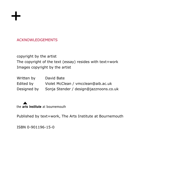#### ACKNOWLEDGEMENTS

copyright by the artist The copyright of the text (essay) resides with text+work Images copyright by the artist

| Written by  | David Bate                             |
|-------------|----------------------------------------|
| Edited by   | Violet McClean / vmcclean@aib.ac.uk    |
| Designed by | Sonja Stender / design@jazznoons.co.uk |

the **arts institute** at bournemouth

Published by text+work, The Arts Institute at Bournemouth

ISBN 0-901196-15-0